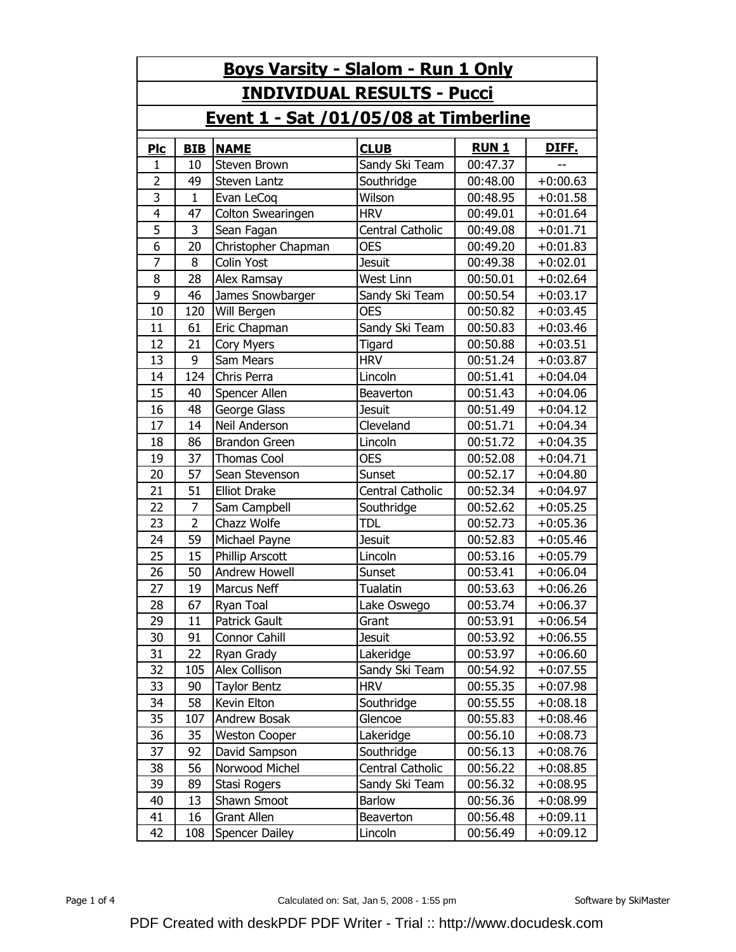| <b>Boys Varsity - Slalom - Run 1 Only</b> |                |                        |                  |              |            |
|-------------------------------------------|----------------|------------------------|------------------|--------------|------------|
| <b>INDIVIDUAL RESULTS - Pucci</b>         |                |                        |                  |              |            |
| Event 1 - Sat /01/05/08 at Timberline     |                |                        |                  |              |            |
| <b>Plc</b>                                | <b>BIB</b>     | <b>NAME</b>            | <b>CLUB</b>      | <b>RUN 1</b> | DIFF.      |
| 1                                         | 10             | Steven Brown           | Sandy Ski Team   | 00:47.37     |            |
| $\overline{2}$                            | 49             | Steven Lantz           | Southridge       | 00:48.00     | $+0:00.63$ |
| 3                                         | $\mathbf{1}$   | Evan LeCoq             | Wilson           | 00:48.95     | $+0:01.58$ |
| 4                                         | 47             | Colton Swearingen      | <b>HRV</b>       | 00:49.01     | $+0:01.64$ |
| 5                                         | 3              | Sean Fagan             | Central Catholic | 00:49.08     | $+0:01.71$ |
| 6                                         | 20             | Christopher Chapman    | <b>OES</b>       | 00:49.20     | $+0:01.83$ |
| 7                                         | 8              | Colin Yost             | <b>Jesuit</b>    | 00:49.38     | $+0:02.01$ |
| 8                                         | 28             | Alex Ramsay            | West Linn        | 00:50.01     | $+0:02.64$ |
| 9                                         | 46             | James Snowbarger       | Sandy Ski Team   | 00:50.54     | $+0:03.17$ |
| 10                                        | 120            | Will Bergen            | <b>OES</b>       | 00:50.82     | $+0:03.45$ |
| 11                                        | 61             | Eric Chapman           | Sandy Ski Team   | 00:50.83     | $+0:03.46$ |
| 12                                        | 21             | <b>Cory Myers</b>      | Tigard           | 00:50.88     | $+0:03.51$ |
| 13                                        | 9              | Sam Mears              | <b>HRV</b>       | 00:51.24     | $+0:03.87$ |
| 14                                        | 124            | Chris Perra            | Lincoln          | 00:51.41     | $+0:04.04$ |
| 15                                        | 40             | Spencer Allen          | Beaverton        | 00:51.43     | $+0:04.06$ |
| 16                                        | 48             | George Glass           | <b>Jesuit</b>    | 00:51.49     | $+0:04.12$ |
| 17                                        | 14             | Neil Anderson          | Cleveland        | 00:51.71     | $+0:04.34$ |
| 18                                        | 86             | <b>Brandon Green</b>   | Lincoln          | 00:51.72     | $+0:04.35$ |
| 19                                        | 37             | <b>Thomas Cool</b>     | <b>OES</b>       | 00:52.08     | $+0:04.71$ |
| 20                                        | 57             | Sean Stevenson         | Sunset           | 00:52.17     | $+0:04.80$ |
| 21                                        | 51             | <b>Elliot Drake</b>    | Central Catholic | 00:52.34     | $+0:04.97$ |
| 22                                        | 7              | Sam Campbell           | Southridge       | 00:52.62     | $+0:05.25$ |
| 23                                        | $\overline{2}$ | Chazz Wolfe            | <b>TDL</b>       | 00:52.73     | $+0:05.36$ |
| 24                                        | 59             | Michael Payne          | <b>Jesuit</b>    | 00:52.83     | $+0:05.46$ |
| 25                                        | 15             | <b>Phillip Arscott</b> | Lincoln          | 00:53.16     | $+0:05.79$ |
| 26                                        | 50             | <b>Andrew Howell</b>   | Sunset           | 00:53.41     | $+0:06.04$ |
| 27                                        | 19             | Marcus Neff            | Tualatin         | 00:53.63     | $+0:06.26$ |
| 28                                        | 67             | Ryan Toal              | Lake Oswego      | 00:53.74     | $+0:06.37$ |
| 29                                        | 11             | Patrick Gault          | Grant            | 00:53.91     | $+0:06.54$ |
| 30                                        | 91             | Connor Cahill          | <b>Jesuit</b>    | 00:53.92     | $+0:06.55$ |
| 31                                        | 22             | Ryan Grady             | Lakeridge        | 00:53.97     | $+0:06.60$ |
| 32                                        | 105            | Alex Collison          | Sandy Ski Team   | 00:54.92     | $+0:07.55$ |
| 33                                        | 90             | <b>Taylor Bentz</b>    | <b>HRV</b>       | 00:55.35     | $+0:07.98$ |
| 34                                        | 58             | Kevin Elton            | Southridge       | 00:55.55     | $+0:08.18$ |
| 35                                        | 107            | Andrew Bosak           | Glencoe          | 00:55.83     | $+0:08.46$ |
| 36                                        | 35             | <b>Weston Cooper</b>   | Lakeridge        | 00:56.10     | $+0:08.73$ |
| 37                                        | 92             | David Sampson          | Southridge       | 00:56.13     | $+0:08.76$ |
| 38                                        | 56             | Norwood Michel         | Central Catholic | 00:56.22     | $+0:08.85$ |
| 39                                        | 89             | Stasi Rogers           | Sandy Ski Team   | 00:56.32     | $+0:08.95$ |
| 40                                        | 13             | Shawn Smoot            | <b>Barlow</b>    | 00:56.36     | $+0:08.99$ |
| 41                                        | 16             | <b>Grant Allen</b>     | Beaverton        | 00:56.48     | $+0:09.11$ |
| 42                                        | 108            | Spencer Dailey         | Lincoln          | 00:56.49     | $+0:09.12$ |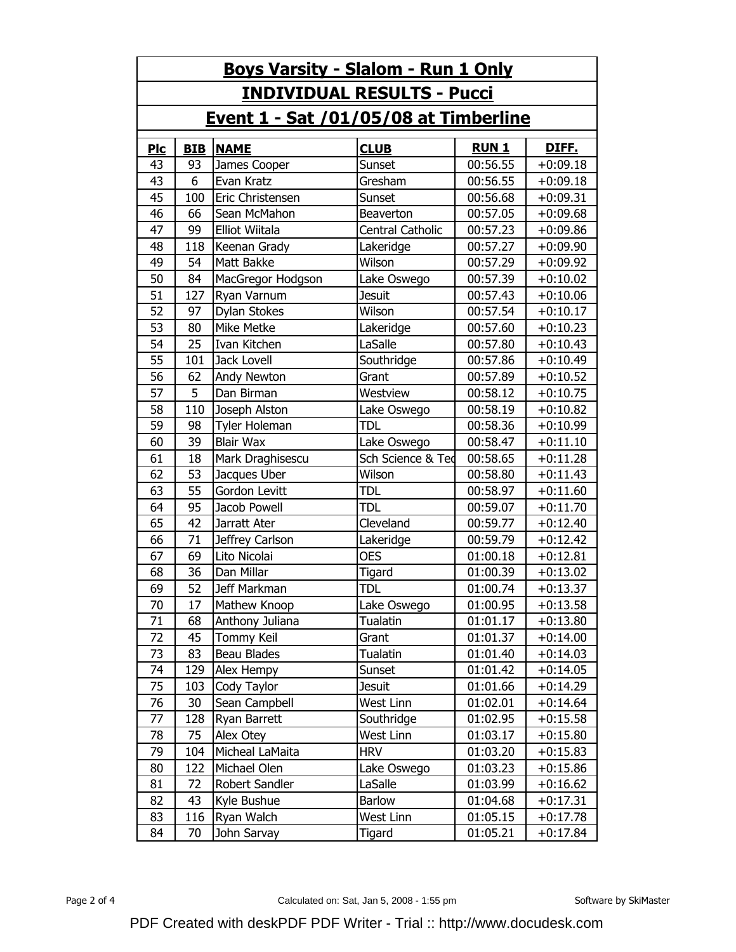| <b>Boys Varsity - Slalom - Run 1 Only</b>    |                                   |                       |                   |              |              |  |
|----------------------------------------------|-----------------------------------|-----------------------|-------------------|--------------|--------------|--|
|                                              | <b>INDIVIDUAL RESULTS - Pucci</b> |                       |                   |              |              |  |
| <u>Event 1 - Sat /01/05/08 at Timberline</u> |                                   |                       |                   |              |              |  |
| <b>Plc</b>                                   | <b>BIB</b>                        | <b>NAME</b>           | <b>CLUB</b>       | <b>RUN 1</b> | <u>DIFF.</u> |  |
| 43                                           | 93                                | James Cooper          | Sunset            | 00:56.55     | $+0:09.18$   |  |
| 43                                           | 6                                 | Evan Kratz            | Gresham           | 00:56.55     | $+0:09.18$   |  |
| 45                                           | 100                               | Eric Christensen      | Sunset            | 00:56.68     | $+0:09.31$   |  |
| 46                                           | 66                                | Sean McMahon          | Beaverton         | 00:57.05     | $+0:09.68$   |  |
| 47                                           | 99                                | <b>Elliot Wiitala</b> | Central Catholic  | 00:57.23     | $+0:09.86$   |  |
| 48                                           | 118                               | Keenan Grady          | Lakeridge         | 00:57.27     | $+0:09.90$   |  |
| 49                                           | 54                                | Matt Bakke            | Wilson            | 00:57.29     | $+0:09.92$   |  |
| 50                                           | 84                                | MacGregor Hodgson     | Lake Oswego       | 00:57.39     | $+0:10.02$   |  |
| 51                                           | 127                               | Ryan Varnum           | <b>Jesuit</b>     | 00:57.43     | $+0:10.06$   |  |
| 52                                           | 97                                | Dylan Stokes          | Wilson            | 00:57.54     | $+0:10.17$   |  |
| 53                                           | 80                                | Mike Metke            | Lakeridge         | 00:57.60     | $+0:10.23$   |  |
| 54                                           | 25                                | Ivan Kitchen          | LaSalle           | 00:57.80     | $+0:10.43$   |  |
| 55                                           | 101                               | Jack Lovell           | Southridge        | 00:57.86     | $+0:10.49$   |  |
| 56                                           | 62                                | Andy Newton           | Grant             | 00:57.89     | $+0:10.52$   |  |
| 57                                           | 5                                 | Dan Birman            | Westview          | 00:58.12     | $+0:10.75$   |  |
| 58                                           | 110                               | Joseph Alston         | Lake Oswego       | 00:58.19     | $+0:10.82$   |  |
| 59                                           | 98                                | Tyler Holeman         | <b>TDL</b>        | 00:58.36     | $+0:10.99$   |  |
| 60                                           | 39                                | <b>Blair Wax</b>      | Lake Oswego       | 00:58.47     | $+0:11.10$   |  |
| 61                                           | 18                                | Mark Draghisescu      | Sch Science & Ted | 00:58.65     | $+0:11.28$   |  |
| 62                                           | 53                                | Jacques Uber          | Wilson            | 00:58.80     | $+0:11.43$   |  |
| 63                                           | 55                                | Gordon Levitt         | TDL               | 00:58.97     | $+0:11.60$   |  |
| 64                                           | 95                                | Jacob Powell          | tdl               | 00:59.07     | $+0:11.70$   |  |
| 65                                           | 42                                | Jarratt Ater          | Cleveland         | 00:59.77     | $+0:12.40$   |  |
| 66                                           | 71                                | Jeffrey Carlson       | Lakeridge         | 00:59.79     | $+0:12.42$   |  |
| 67                                           | 69                                | Lito Nicolai          | <b>OES</b>        | 01:00.18     | $+0:12.81$   |  |
| 68                                           | 36                                | Dan Millar            | Tigard            | 01:00.39     | $+0:13.02$   |  |
| 69                                           | 52                                | Jeff Markman          | <b>TDL</b>        | 01:00.74     | $+0:13.37$   |  |
| 70                                           | 17                                | Mathew Knoop          | Lake Oswego       | 01:00.95     | $+0:13.58$   |  |
| 71                                           | 68                                | Anthony Juliana       | Tualatin          | 01:01.17     | $+0:13.80$   |  |
| 72                                           | 45                                | <b>Tommy Keil</b>     | Grant             | 01:01.37     | $+0:14.00$   |  |
| 73                                           | 83                                | Beau Blades           | Tualatin          | 01:01.40     | $+0:14.03$   |  |
| 74                                           | 129                               | Alex Hempy            | Sunset            | 01:01.42     | $+0:14.05$   |  |
| 75                                           | 103                               | Cody Taylor           | Jesuit            | 01:01.66     | $+0:14.29$   |  |
| 76                                           | 30                                | Sean Campbell         | West Linn         | 01:02.01     | $+0:14.64$   |  |
| 77                                           | 128                               | Ryan Barrett          | Southridge        | 01:02.95     | $+0:15.58$   |  |
| 78                                           | 75                                | Alex Otey             | West Linn         | 01:03.17     | $+0:15.80$   |  |
| 79                                           | 104                               | Micheal LaMaita       | <b>HRV</b>        | 01:03.20     | $+0:15.83$   |  |
| 80                                           | 122                               | Michael Olen          | Lake Oswego       | 01:03.23     | $+0:15.86$   |  |
| 81                                           | 72                                | Robert Sandler        | LaSalle           | 01:03.99     | $+0:16.62$   |  |
| 82                                           | 43                                | Kyle Bushue           | <b>Barlow</b>     | 01:04.68     | $+0:17.31$   |  |
| 83                                           | 116                               | Ryan Walch            | West Linn         | 01:05.15     | $+0:17.78$   |  |
| 84                                           | 70                                | John Sarvay           | Tigard            | 01:05.21     | $+0:17.84$   |  |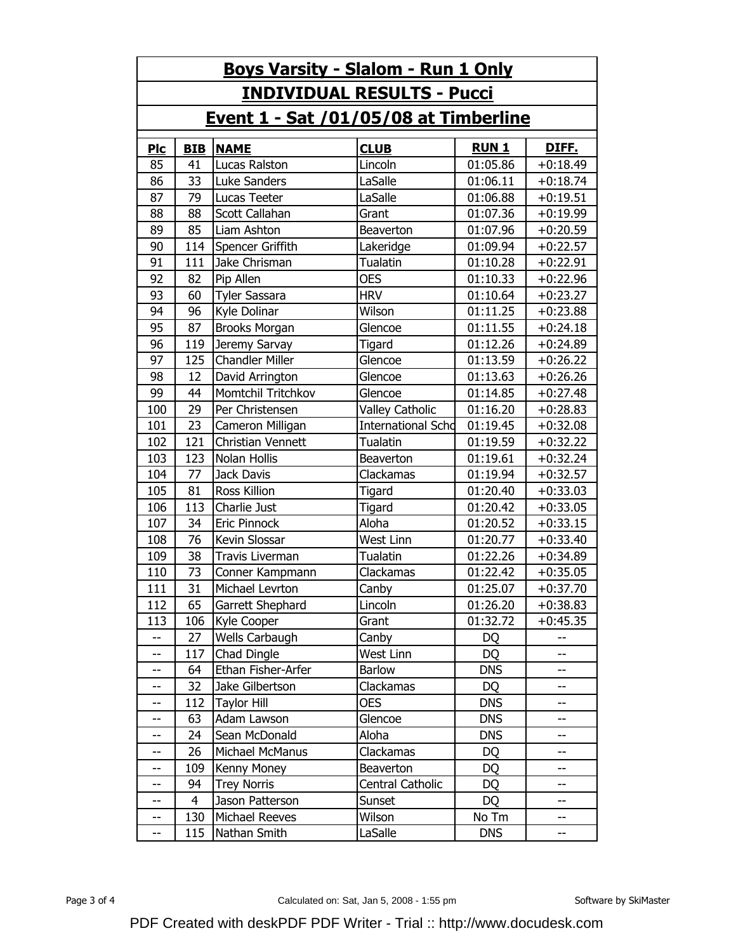| <b>Boys Varsity - Slalom - Run 1 Only</b> |            |                                    |                           |              |                          |
|-------------------------------------------|------------|------------------------------------|---------------------------|--------------|--------------------------|
| <b>INDIVIDUAL RESULTS - Pucci</b>         |            |                                    |                           |              |                          |
| Event 1 - Sat /01/05/08 at Timberline     |            |                                    |                           |              |                          |
| <b>Plc</b>                                | <b>BIB</b> | <b>NAME</b>                        | <b>CLUB</b>               | <b>RUN 1</b> | <u>DIFF.</u>             |
| 85                                        | 41         | Lucas Ralston                      | Lincoln                   | 01:05.86     | $+0:18.49$               |
| 86                                        | 33         | Luke Sanders                       | LaSalle                   | 01:06.11     | $+0:18.74$               |
| 87                                        | 79         | Lucas Teeter                       | LaSalle                   | 01:06.88     | $+0:19.51$               |
| 88                                        | 88         | Scott Callahan                     | Grant                     | 01:07.36     | $+0:19.99$               |
| 89                                        | 85         | Liam Ashton                        | Beaverton                 | 01:07.96     | $+0:20.59$               |
| 90                                        | 114        | Spencer Griffith                   | Lakeridge                 | 01:09.94     | $+0:22.57$               |
| 91                                        | 111        | Jake Chrisman                      | Tualatin                  | 01:10.28     | $+0:22.91$               |
| 92                                        | 82         | <b>OES</b><br>Pip Allen            |                           | 01:10.33     | $+0:22.96$               |
| 93                                        | 60         | <b>HRV</b><br><b>Tyler Sassara</b> |                           | 01:10.64     | $+0:23.27$               |
| 94                                        | 96         | Kyle Dolinar                       | Wilson                    | 01:11.25     | $+0:23.88$               |
| 95                                        | 87         | <b>Brooks Morgan</b>               | Glencoe                   | 01:11.55     | $+0:24.18$               |
| 96                                        | 119        | Jeremy Sarvay                      | Tigard                    | 01:12.26     | $+0:24.89$               |
| 97                                        | 125        | <b>Chandler Miller</b>             | Glencoe                   | 01:13.59     | $+0:26.22$               |
| 98                                        | 12         | David Arrington                    | Glencoe                   | 01:13.63     | $+0:26.26$               |
| 99                                        | 44         | <b>Momtchil Tritchkov</b>          | Glencoe                   | 01:14.85     | $+0:27.48$               |
| 100                                       | 29         | Per Christensen                    | <b>Valley Catholic</b>    | 01:16.20     | $+0:28.83$               |
| 101                                       | 23         | Cameron Milligan                   | <b>International Scho</b> | 01:19.45     | $+0:32.08$               |
| 102                                       | 121        | Christian Vennett                  | Tualatin                  | 01:19.59     | $+0:32.22$               |
| 103                                       | 123        | Nolan Hollis                       | Beaverton                 | 01:19.61     | $+0:32.24$               |
| 104                                       | 77         | Jack Davis                         | Clackamas                 | 01:19.94     | $+0:32.57$               |
| 105                                       | 81         | Ross Killion                       | Tigard                    | 01:20.40     | $+0:33.03$               |
| 106                                       | 113        | Charlie Just                       | Tigard                    | 01:20.42     | $+0:33.05$               |
| 107                                       | 34         | Eric Pinnock                       | Aloha                     | 01:20.52     | $+0:33.15$               |
| 108                                       | 76         | Kevin Slossar                      | West Linn                 | 01:20.77     | $+0:33.40$               |
| 109                                       | 38         | <b>Travis Liverman</b>             | Tualatin                  | 01:22.26     | $+0:34.89$               |
| 110                                       | 73         | Conner Kampmann                    | Clackamas                 | 01:22.42     | $+0:35.05$               |
| 111                                       | 31         | Michael Levrton                    | Canby                     | 01:25.07     | $+0:37.70$               |
| 112                                       | 65         | Garrett Shephard                   | Lincoln                   | 01:26.20     | $+0:38.83$               |
| 113                                       | 106        | Kyle Cooper                        | Grant                     | 01:32.72     | $+0:45.35$               |
| --                                        | 27         | Wells Carbaugh                     | Canby                     | DQ           | --                       |
| --                                        | 117        | Chad Dingle                        | West Linn                 | <b>DQ</b>    | --                       |
| --                                        | 64         | Ethan Fisher-Arfer                 | <b>Barlow</b>             | <b>DNS</b>   | --                       |
| --                                        | 32         | Jake Gilbertson                    | Clackamas                 | DQ           |                          |
| --                                        | 112        | <b>Taylor Hill</b><br><b>OES</b>   |                           | <b>DNS</b>   | --                       |
| --                                        | 63         | Adam Lawson                        | Glencoe                   | <b>DNS</b>   | --                       |
| --                                        | 24         | Sean McDonald                      | Aloha                     | <b>DNS</b>   | --                       |
| --                                        | 26         | Michael McManus                    | Clackamas                 | <b>DQ</b>    | --                       |
| --                                        | 109        | Kenny Money                        | Beaverton                 | <b>DQ</b>    | --                       |
| --                                        | 94         | <b>Trey Norris</b>                 | Central Catholic          | <b>DQ</b>    | --                       |
| --                                        | 4          | Jason Patterson                    | Sunset                    | <b>DQ</b>    | $- -$                    |
| $\overline{\phantom{a}}$                  | 130        | Michael Reeves                     | Wilson                    | No Tm        | $- -$                    |
| --                                        | 115        | Nathan Smith                       | LaSalle                   | <b>DNS</b>   | $\overline{\phantom{a}}$ |